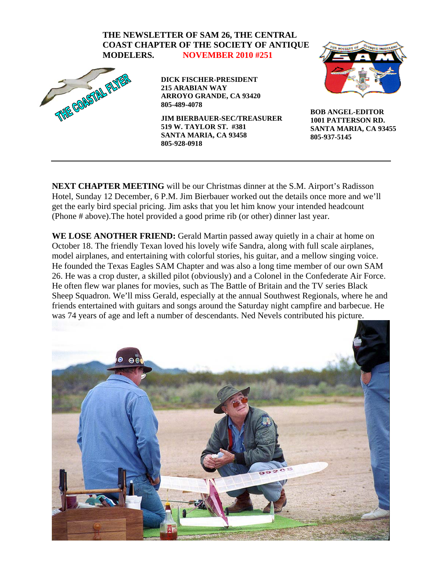

**NEXT CHAPTER MEETING** will be our Christmas dinner at the S.M. Airport's Radisson Hotel, Sunday 12 December, 6 P.M. Jim Bierbauer worked out the details once more and we'll get the early bird special pricing. Jim asks that you let him know your intended headcount (Phone # above).The hotel provided a good prime rib (or other) dinner last year.

WE LOSE ANOTHER FRIEND: Gerald Martin passed away quietly in a chair at home on October 18. The friendly Texan loved his lovely wife Sandra, along with full scale airplanes, model airplanes, and entertaining with colorful stories, his guitar, and a mellow singing voice. He founded the Texas Eagles SAM Chapter and was also a long time member of our own SAM 26. He was a crop duster, a skilled pilot (obviously) and a Colonel in the Confederate Air Force. He often flew war planes for movies, such as The Battle of Britain and the TV series Black Sheep Squadron. We'll miss Gerald, especially at the annual Southwest Regionals, where he and friends entertained with guitars and songs around the Saturday night campfire and barbecue. He was 74 years of age and left a number of descendants. Ned Nevels contributed his picture.

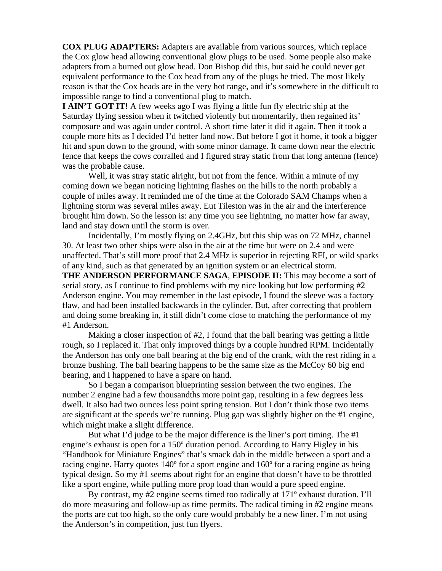**COX PLUG ADAPTERS:** Adapters are available from various sources, which replace the Cox glow head allowing conventional glow plugs to be used. Some people also make adapters from a burned out glow head. Don Bishop did this, but said he could never get equivalent performance to the Cox head from any of the plugs he tried. The most likely reason is that the Cox heads are in the very hot range, and it's somewhere in the difficult to impossible range to find a conventional plug to match.

**I AIN'T GOT IT!** A few weeks ago I was flying a little fun fly electric ship at the Saturday flying session when it twitched violently but momentarily, then regained its' composure and was again under control. A short time later it did it again. Then it took a couple more hits as I decided I'd better land now. But before I got it home, it took a bigger hit and spun down to the ground, with some minor damage. It came down near the electric fence that keeps the cows corralled and I figured stray static from that long antenna (fence) was the probable cause.

 Well, it was stray static alright, but not from the fence. Within a minute of my coming down we began noticing lightning flashes on the hills to the north probably a couple of miles away. It reminded me of the time at the Colorado SAM Champs when a lightning storm was several miles away. Eut Tileston was in the air and the interference brought him down. So the lesson is: any time you see lightning, no matter how far away, land and stay down until the storm is over.

 Incidentally, I'm mostly flying on 2.4GHz, but this ship was on 72 MHz, channel 30. At least two other ships were also in the air at the time but were on 2.4 and were unaffected. That's still more proof that 2.4 MHz is superior in rejecting RFI, or wild sparks of any kind, such as that generated by an ignition system or an electrical storm. **THE ANDERSON PERFORMANCE SAGA**, **EPISODE II:** This may become a sort of serial story, as I continue to find problems with my nice looking but low performing #2 Anderson engine. You may remember in the last episode, I found the sleeve was a factory flaw, and had been installed backwards in the cylinder. But, after correcting that problem and doing some breaking in, it still didn't come close to matching the performance of my

#1 Anderson.

 Making a closer inspection of #2, I found that the ball bearing was getting a little rough, so I replaced it. That only improved things by a couple hundred RPM. Incidentally the Anderson has only one ball bearing at the big end of the crank, with the rest riding in a bronze bushing. The ball bearing happens to be the same size as the McCoy 60 big end bearing, and I happened to have a spare on hand.

 So I began a comparison blueprinting session between the two engines. The number 2 engine had a few thousandths more point gap, resulting in a few degrees less dwell. It also had two ounces less point spring tension. But I don't think those two items are significant at the speeds we're running. Plug gap was slightly higher on the #1 engine, which might make a slight difference.

 But what I'd judge to be the major difference is the liner's port timing. The #1 engine's exhaust is open for a 150º duration period. According to Harry Higley in his "Handbook for Miniature Engines" that's smack dab in the middle between a sport and a racing engine. Harry quotes 140º for a sport engine and 160º for a racing engine as being typical design. So my #1 seems about right for an engine that doesn't have to be throttled like a sport engine, while pulling more prop load than would a pure speed engine.

 By contrast, my #2 engine seems timed too radically at 171º exhaust duration. I'll do more measuring and follow-up as time permits. The radical timing in #2 engine means the ports are cut too high, so the only cure would probably be a new liner. I'm not using the Anderson's in competition, just fun flyers.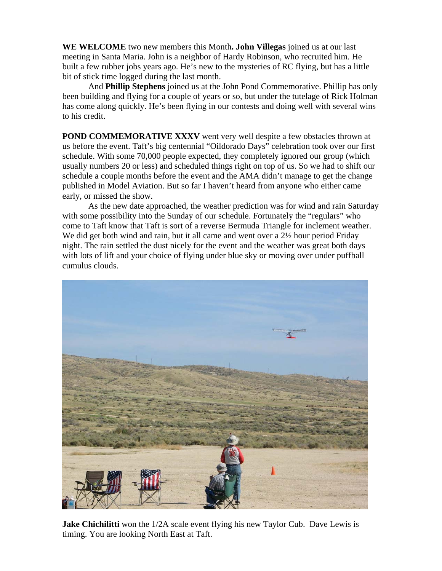**WE WELCOME** two new members this Month**. John Villegas** joined us at our last meeting in Santa Maria. John is a neighbor of Hardy Robinson, who recruited him. He built a few rubber jobs years ago. He's new to the mysteries of RC flying, but has a little bit of stick time logged during the last month.

 And **Phillip Stephens** joined us at the John Pond Commemorative. Phillip has only been building and flying for a couple of years or so, but under the tutelage of Rick Holman has come along quickly. He's been flying in our contests and doing well with several wins to his credit.

**POND COMMEMORATIVE XXXV** went very well despite a few obstacles thrown at us before the event. Taft's big centennial "Oildorado Days" celebration took over our first schedule. With some 70,000 people expected, they completely ignored our group (which usually numbers 20 or less) and scheduled things right on top of us. So we had to shift our schedule a couple months before the event and the AMA didn't manage to get the change published in Model Aviation. But so far I haven't heard from anyone who either came early, or missed the show.

 As the new date approached, the weather prediction was for wind and rain Saturday with some possibility into the Sunday of our schedule. Fortunately the "regulars" who come to Taft know that Taft is sort of a reverse Bermuda Triangle for inclement weather. We did get both wind and rain, but it all came and went over a  $2\frac{1}{2}$  hour period Friday night. The rain settled the dust nicely for the event and the weather was great both days with lots of lift and your choice of flying under blue sky or moving over under puffball cumulus clouds.



**Jake Chichilitti** won the 1/2A scale event flying his new Taylor Cub. Dave Lewis is timing. You are looking North East at Taft.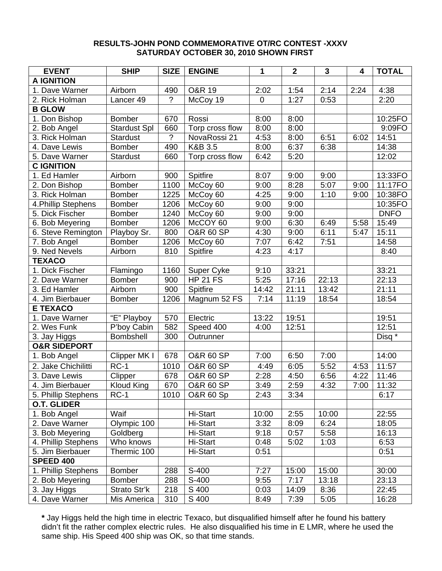## **RESULTS-JOHN POND COMMEMORATIVE OT/RC CONTEST -XXXV SATURDAY OCTOBER 30, 2010 SHOWN FIRST**

| <b>EVENT</b>            | <b>SHIP</b>         | <b>SIZE</b>    | <b>ENGINE</b>        | 1           | $\overline{2}$ | $\mathbf{3}$ | 4    | <b>TOTAL</b> |
|-------------------------|---------------------|----------------|----------------------|-------------|----------------|--------------|------|--------------|
| <b>A IGNITION</b>       |                     |                |                      |             |                |              |      |              |
| 1. Dave Warner          | Airborn             | 490            | <b>O&amp;R 19</b>    | 2:02        | 1:54           | 2:14         | 2:24 | 4:38         |
| 2. Rick Holman          | Lancer 49           | ?              | McCoy 19             | $\mathbf 0$ | 1:27           | 0:53         |      | 2:20         |
| <b>B GLOW</b>           |                     |                |                      |             |                |              |      |              |
| 1. Don Bishop           | <b>Bomber</b>       | 670            | Rossi                | 8:00        | 8:00           |              |      | 10:25FO      |
| 2. Bob Angel            | <b>Stardust Spl</b> | 660            | Torp cross flow      | 8:00        | 8:00           |              |      | 9:09FO       |
| 3. Rick Holman          | <b>Stardust</b>     | $\overline{?}$ | NovaRossi 21         | 4:53        | 8:00           | 6:51         | 6:02 | 14:51        |
| 4. Dave Lewis           | <b>Bomber</b>       | 490            | K&B 3.5              | 8:00        | 6:37           | 6:38         |      | 14:38        |
| 5. Dave Warner          | <b>Stardust</b>     | 660            | Torp cross flow      | 6:42        | 5:20           |              |      | 12:02        |
| <b>C IGNITION</b>       |                     |                |                      |             |                |              |      |              |
| 1. Ed Hamler            | Airborn             | 900            | Spitfire             | 8:07        | 9:00           | 9:00         |      | 13:33FO      |
| 2. Don Bishop           | <b>Bomber</b>       | 1100           | McCoy 60             | 9:00        | 8:28           | 5:07         | 9:00 | 11:17FO      |
| 3. Rick Holman          | <b>Bomber</b>       | 1225           | McCoy 60             | 4:25        | 9:00           | 1:10         | 9:00 | 10:38FO      |
| 4. Phillip Stephens     | <b>Bomber</b>       | 1206           | McCoy 60             | 9:00        | 9:00           |              |      | 10:35FO      |
| 5. Dick Fischer         | <b>Bomber</b>       | 1240           | McCoy 60             | 9:00        | 9:00           |              |      | <b>DNFO</b>  |
| 6. Bob Meyering         | <b>Bomber</b>       | 1206           | McCOY 60             | 9:00        | 6:30           | 6:49         | 5:58 | 15:49        |
| 6. Steve Remington      | Playboy Sr.         | 800            | <b>O&amp;R 60 SP</b> | 4:30        | 9:00           | 6:11         | 5:47 | 15:11        |
| 7. Bob Angel            | <b>Bomber</b>       | 1206           | McCoy 60             | 7:07        | 6:42           | 7:51         |      | 14:58        |
| 9. Ned Nevels           | Airborn             | 810            | Spitfire             | 4:23        | 4:17           |              |      | 8:40         |
| <b>TEXACO</b>           |                     |                |                      |             |                |              |      |              |
| 1. Dick Fischer         | Flamingo            | 1160           | Super Cyke           | 9:10        | 33:21          |              |      | 33:21        |
| 2. Dave Warner          | <b>Bomber</b>       | 900            | <b>HP 21 FS</b>      | 5:25        | 17:16          | 22:13        |      | 22:13        |
| 3. Ed Hamler            | Airborn             | 900            | Spitfire             | 14:42       | 21:11          | 13:42        |      | 21:11        |
| 4. Jim Bierbauer        | <b>Bomber</b>       | 1206           | Magnum 52 FS         | 7:14        | 11:19          | 18:54        |      | 18:54        |
| <b>E TEXACO</b>         |                     |                |                      |             |                |              |      |              |
| 1. Dave Warner          | "E" Playboy         | 570            | Electric             | 13:22       | 19:51          |              |      | 19:51        |
| 2. Wes Funk             | P'boy Cabin         | 582            | Speed 400            | 4:00        | 12:51          |              |      | 12:51        |
| 3. Jay Higgs            | Bombshell           | 300            | Outrunner            |             |                |              |      | Disq *       |
| <b>O&amp;R SIDEPORT</b> |                     |                |                      |             |                |              |      |              |
| 1. Bob Angel            | Clipper MK I        | 678            | <b>O&amp;R 60 SP</b> | 7:00        | 6:50           | 7:00         |      | 14:00        |
|                         | $RC-1$              |                |                      |             |                |              |      |              |
| 2. Jake Chichilitti     |                     | 1010           | <b>O&amp;R 60 SP</b> | 4:49        | 6:05           | 5:52         | 4:53 | 11:57        |
| 3. Dave Lewis           | Clipper             | 678            | <b>O&amp;R 60 SP</b> | 2:28        | 4:50           | 6:56         | 4:22 | 11:46        |
| 4. Jim Bierbauer        | <b>Kloud King</b>   | 670            | <b>O&amp;R 60 SP</b> | 3:49        | 2:59           | 4:32         | 7:00 | 11:32        |
| 5. Phillip Stephens     | $RC-1$              | 1010           | <b>O&amp;R 60 Sp</b> | 2:43        | 3:34           |              |      | 6:17         |
| <b>O.T. GLIDER</b>      |                     |                |                      |             |                |              |      |              |
| 1. Bob Angel            | Waif                |                | Hi-Start             | 10:00       | 2:55           | 10:00        |      | 22:55        |
| 2. Dave Warner          | Olympic 100         |                | Hi-Start             | 3:32        | 8:09           | 6:24         |      | 18:05        |
| 3. Bob Meyering         | Goldberg            |                | Hi-Start             | 9:18        | 0:57           | 5:58         |      | 16:13        |
| 4. Phillip Stephens     | Who knows           |                | Hi-Start             | 0:48        | 5:02           | 1:03         |      | 6:53         |
| 5. Jim Bierbauer        | Thermic 100         |                | Hi-Start             | 0:51        |                |              |      | 0:51         |
| <b>SPEED 400</b>        |                     |                |                      |             |                |              |      |              |
| 1. Phillip Stephens     | <b>Bomber</b>       | 288            | S-400                | 7:27        | 15:00          | 15:00        |      | 30:00        |
| 2. Bob Meyering         | <b>Bomber</b>       | 288            | S-400                | 9:55        | 7:17           | 13:18        |      | 23:13        |
| 3. Jay Higgs            | Strato Str'k        | 218            | S 400                | 0:03        | 14:09          | 8:36         |      | 22:45        |
| 4. Dave Warner          | Mis America         | 310            | S 400                | 8:49        | 7:39           | 5:05         |      | 16:28        |

**\*** Jay Higgs held the high time in electric Texaco, but disqualified himself after he found his battery didn't fit the rather complex electric rules.He also disqualified his time in E LMR, where he used the same ship. His Speed 400 ship was OK, so that time stands.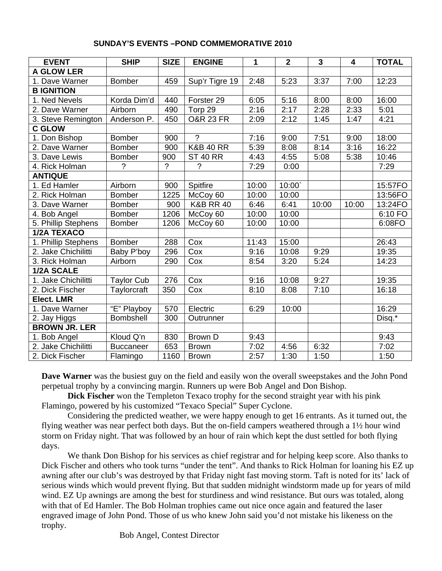|  | <b>SUNDAY'S EVENTS - POND COMMEMORATIVE 2010</b> |
|--|--------------------------------------------------|
|--|--------------------------------------------------|

| <b>EVENT</b>         | <b>SHIP</b>       | <b>SIZE</b>    | <b>ENGINE</b>           | 1     | $\overline{2}$ | $\overline{\mathbf{3}}$ | 4     | <b>TOTAL</b> |
|----------------------|-------------------|----------------|-------------------------|-------|----------------|-------------------------|-------|--------------|
| <b>A GLOW LER</b>    |                   |                |                         |       |                |                         |       |              |
| 1. Dave Warner       | <b>Bomber</b>     | 459            | Sup'r Tigre 19          | 2:48  | 5:23           | 3:37                    | 7:00  | 12:23        |
| <b>B IGNITION</b>    |                   |                |                         |       |                |                         |       |              |
| 1. Ned Nevels        | Korda Dim'd       | 440            | Forster <sub>29</sub>   | 6:05  | 5:16           | 8:00                    | 8:00  | 16:00        |
| 2. Dave Warner       | Airborn           | 490            | Torp 29                 | 2:16  | 2:17           | 2:28                    | 2:33  | 5:01         |
| 3. Steve Remington   | Anderson P.       | 450            | <b>O&amp;R 23 FR</b>    | 2:09  | 2:12           | 1:45                    | 1:47  | 4:21         |
| <b>C GLOW</b>        |                   |                |                         |       |                |                         |       |              |
| 1. Don Bishop        | <b>Bomber</b>     | 900            | $\gamma$                | 7:16  | 9:00           | 7:51                    | 9:00  | 18:00        |
| 2. Dave Warner       | <b>Bomber</b>     | 900            | <b>K&amp;B 40 RR</b>    | 5:39  | 8:08           | 8:14                    | 3:16  | 16:22        |
| 3. Dave Lewis        | <b>Bomber</b>     | 900            | <b>ST 40 RR</b>         | 4:43  | 4:55           | 5:08                    | 5:38  | 10:46        |
| 4. Rick Holman       | $\gamma$          | $\overline{?}$ | $\overline{?}$          | 7:29  | 0:00           |                         |       | 7:29         |
| <b>ANTIQUE</b>       |                   |                |                         |       |                |                         |       |              |
| 1. Ed Hamler         | Airborn           | 900            | Spitfire                | 10:00 | 10:00          |                         |       | 15:57FO      |
| 2. Rick Holman       | <b>Bomber</b>     | 1225           | McCoy 60                | 10:00 | 10:00          |                         |       | 13:56FO      |
| 3. Dave Warner       | <b>Bomber</b>     | 900            | <b>K&amp;B RR 40</b>    | 6:46  | 6:41           | 10:00                   | 10:00 | 13:24FO      |
| 4. Bob Angel         | <b>Bomber</b>     | 1206           | McCoy 60                | 10:00 | 10:00          |                         |       | 6:10 FO      |
| 5. Phillip Stephens  | Bomber            | 1206           | McCoy 60                | 10:00 | 10:00          |                         |       | 6:08FO       |
| 1/2A TEXACO          |                   |                |                         |       |                |                         |       |              |
| 1. Phillip Stephens  | <b>Bomber</b>     | 288            | $\overline{\text{Cox}}$ | 11:43 | 15:00          |                         |       | 26:43        |
| 2. Jake Chichilitti  | Baby P'boy        | 296            | $\overline{C}$ ox       | 9:16  | 10:08          | 9:29                    |       | 19:35        |
| 3. Rick Holman       | Airborn           | 290            | Cox                     | 8:54  | 3:20           | 5:24                    |       | 14:23        |
| 1/2A SCALE           |                   |                |                         |       |                |                         |       |              |
| 1. Jake Chichilitti  | <b>Taylor Cub</b> | 276            | Cox                     | 9:16  | 10:08          | 9:27                    |       | 19:35        |
| 2. Dick Fischer      | Taylorcraft       | 350            | Cox                     | 8:10  | 8:08           | 7:10                    |       | 16:18        |
| Elect. LMR           |                   |                |                         |       |                |                         |       |              |
| 1. Dave Warner       | "E" Playboy       | 570            | Electric                | 6:29  | 10:00          |                         |       | 16:29        |
| 2. Jay Higgs         | Bombshell         | 300            | Outrunner               |       |                |                         |       | Disq.*       |
| <b>BROWN JR. LER</b> |                   |                |                         |       |                |                         |       |              |
| 1. Bob Angel         | Kloud Q'n         | 830            | <b>Brown D</b>          | 9:43  |                |                         |       | 9:43         |
| 2. Jake Chichilitti  | <b>Buccaneer</b>  | 653            | <b>Brown</b>            | 7:02  | 4:56           | 6:32                    |       | 7:02         |
| 2. Dick Fischer      | Flamingo          | 1160           | <b>Brown</b>            | 2:57  | 1:30           | 1:50                    |       | 1:50         |

**Dave Warner** was the busiest guy on the field and easily won the overall sweepstakes and the John Pond perpetual trophy by a convincing margin. Runners up were Bob Angel and Don Bishop.

**Dick Fischer** won the Templeton Texaco trophy for the second straight year with his pink Flamingo, powered by his customized "Texaco Special" Super Cyclone.

Considering the predicted weather, we were happy enough to get 16 entrants. As it turned out, the flying weather was near perfect both days. But the on-field campers weathered through a 1½ hour wind storm on Friday night. That was followed by an hour of rain which kept the dust settled for both flying days.

We thank Don Bishop for his services as chief registrar and for helping keep score. Also thanks to Dick Fischer and others who took turns "under the tent". And thanks to Rick Holman for loaning his EZ up awning after our club's was destroyed by that Friday night fast moving storm. Taft is noted for its' lack of serious winds which would prevent flying. But that sudden midnight windstorm made up for years of mild wind. EZ Up awnings are among the best for sturdiness and wind resistance. But ours was totaled, along with that of Ed Hamler. The Bob Holman trophies came out nice once again and featured the laser engraved image of John Pond. Those of us who knew John said you'd not mistake his likeness on the trophy.

Bob Angel, Contest Director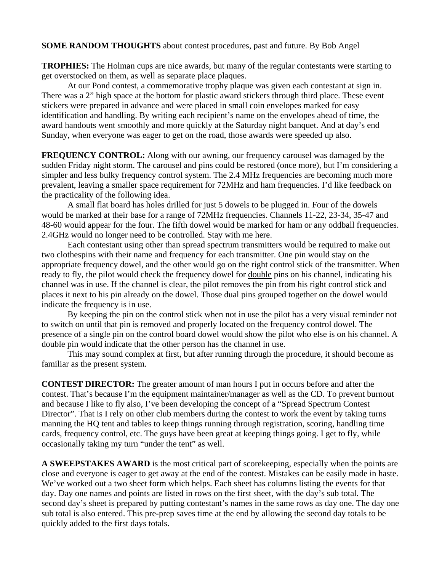## **SOME RANDOM THOUGHTS** about contest procedures, past and future. By Bob Angel

**TROPHIES:** The Holman cups are nice awards, but many of the regular contestants were starting to get overstocked on them, as well as separate place plaques.

At our Pond contest, a commemorative trophy plaque was given each contestant at sign in. There was a 2" high space at the bottom for plastic award stickers through third place. These event stickers were prepared in advance and were placed in small coin envelopes marked for easy identification and handling. By writing each recipient's name on the envelopes ahead of time, the award handouts went smoothly and more quickly at the Saturday night banquet. And at day's end Sunday, when everyone was eager to get on the road, those awards were speeded up also.

**FREQUENCY CONTROL:** Along with our awning, our frequency carousel was damaged by the sudden Friday night storm. The carousel and pins could be restored (once more), but I'm considering a simpler and less bulky frequency control system. The 2.4 MHz frequencies are becoming much more prevalent, leaving a smaller space requirement for 72MHz and ham frequencies. I'd like feedback on the practicality of the following idea.

A small flat board has holes drilled for just 5 dowels to be plugged in. Four of the dowels would be marked at their base for a range of 72MHz frequencies. Channels 11-22, 23-34, 35-47 and 48-60 would appear for the four. The fifth dowel would be marked for ham or any oddball frequencies. 2.4GHz would no longer need to be controlled. Stay with me here.

Each contestant using other than spread spectrum transmitters would be required to make out two clothespins with their name and frequency for each transmitter. One pin would stay on the appropriate frequency dowel, and the other would go on the right control stick of the transmitter. When ready to fly, the pilot would check the frequency dowel for double pins on his channel, indicating his channel was in use. If the channel is clear, the pilot removes the pin from his right control stick and places it next to his pin already on the dowel. Those dual pins grouped together on the dowel would indicate the frequency is in use.

By keeping the pin on the control stick when not in use the pilot has a very visual reminder not to switch on until that pin is removed and properly located on the frequency control dowel. The presence of a single pin on the control board dowel would show the pilot who else is on his channel. A double pin would indicate that the other person has the channel in use.

This may sound complex at first, but after running through the procedure, it should become as familiar as the present system.

**CONTEST DIRECTOR:** The greater amount of man hours I put in occurs before and after the contest. That's because I'm the equipment maintainer/manager as well as the CD. To prevent burnout and because I like to fly also, I've been developing the concept of a "Spread Spectrum Contest Director". That is I rely on other club members during the contest to work the event by taking turns manning the HQ tent and tables to keep things running through registration, scoring, handling time cards, frequency control, etc. The guys have been great at keeping things going. I get to fly, while occasionally taking my turn "under the tent" as well.

**A SWEEPSTAKES AWARD** is the most critical part of scorekeeping, especially when the points are close and everyone is eager to get away at the end of the contest. Mistakes can be easily made in haste. We've worked out a two sheet form which helps. Each sheet has columns listing the events for that day. Day one names and points are listed in rows on the first sheet, with the day's sub total. The second day's sheet is prepared by putting contestant's names in the same rows as day one. The day one sub total is also entered. This pre-prep saves time at the end by allowing the second day totals to be quickly added to the first days totals.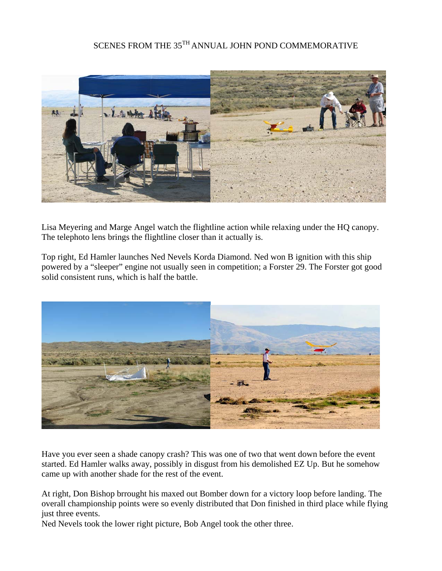## SCENES FROM THE 35<sup>TH</sup> ANNUAL JOHN POND COMMEMORATIVE



Lisa Meyering and Marge Angel watch the flightline action while relaxing under the HQ canopy. The telephoto lens brings the flightline closer than it actually is.

Top right, Ed Hamler launches Ned Nevels Korda Diamond. Ned won B ignition with this ship powered by a "sleeper" engine not usually seen in competition; a Forster 29. The Forster got good solid consistent runs, which is half the battle.



Have you ever seen a shade canopy crash? This was one of two that went down before the event started. Ed Hamler walks away, possibly in disgust from his demolished EZ Up. But he somehow came up with another shade for the rest of the event.

At right, Don Bishop brrought his maxed out Bomber down for a victory loop before landing. The overall championship points were so evenly distributed that Don finished in third place while flying just three events.

Ned Nevels took the lower right picture, Bob Angel took the other three.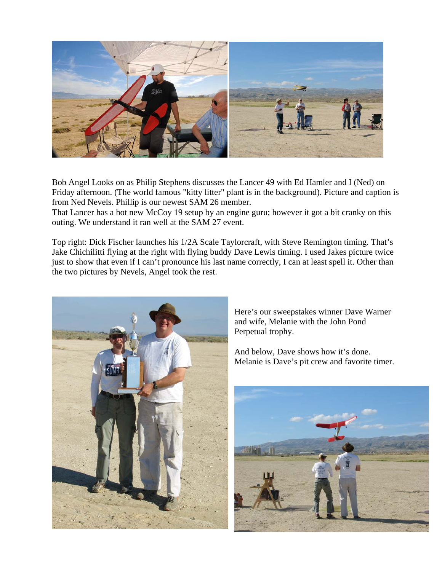

Bob Angel Looks on as Philip Stephens discusses the Lancer 49 with Ed Hamler and I (Ned) on Friday afternoon. (The world famous "kitty litter" plant is in the background). Picture and caption is from Ned Nevels. Phillip is our newest SAM 26 member.

That Lancer has a hot new McCoy 19 setup by an engine guru; however it got a bit cranky on this outing. We understand it ran well at the SAM 27 event.

Top right: Dick Fischer launches his 1/2A Scale Taylorcraft, with Steve Remington timing. That's Jake Chichilitti flying at the right with flying buddy Dave Lewis timing. I used Jakes picture twice just to show that even if I can't pronounce his last name correctly, I can at least spell it. Other than the two pictures by Nevels, Angel took the rest.



Here's our sweepstakes winner Dave Warner and wife, Melanie with the John Pond Perpetual trophy.

And below, Dave shows how it's done. Melanie is Dave's pit crew and favorite timer.

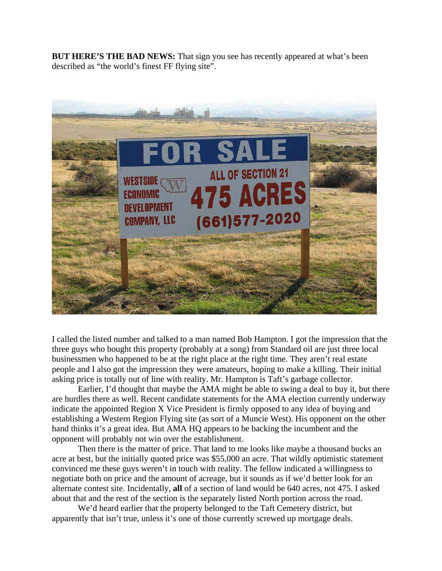**BUT HERE'S THE BAD NEWS:** That sign you see has recently appeared at what's been described as "the world's finest FF flying site".



I called the listed number and talked to a man named Bob Hampton. I got the impression that the three guys who bought this property (probably at a song) from Standard oil are just three local businessmen who happened to be at the right place at the right time. They aren't real estate people and I also got the impression they were amateurs, hoping to make a killing. Their initial asking price is totally out of line with reality. Mr. Hampton is Taft's garbage collector.

Earlier, I'd thought that maybe the AMA might be able to swing a deal to buy it, but there are hurdles there as well. Recent candidate statements for the AMA election currently underway indicate the appointed Region X Vice President is firmly opposed to any idea of buying and establishing a Western Region Flying site (as sort of a Muncie West). His opponent on the other hand thinks it's a great idea. But AMA HQ appears to be backing the incumbent and the opponent will probably not win over the establishment.

Then there is the matter of price. That land to me looks like maybe a thousand bucks an acre at best, but the initially quoted price was \$55,000 an acre. That wildly optimistic statement convinced me these guys weren't in touch with reality. The fellow indicated a willingness to negotiate both on price and the amount of acreage, but it sounds as if we'd better look for an alternate contest site. Incidentally, **all** of a section of land would be 640 acres, not 475. I asked about that and the rest of the section is the separately listed North portion across the road.

We'd heard earlier that the property belonged to the Taft Cemetery district, but apparently that isn't true, unless it's one of those currently screwed up mortgage deals.